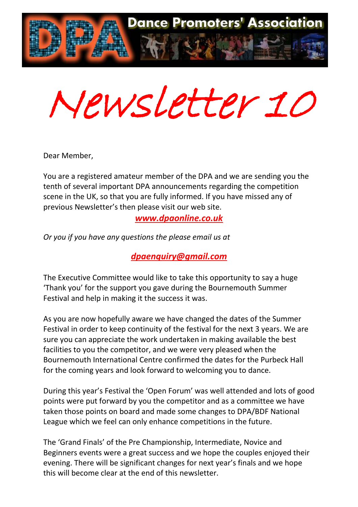

Newsletter 10

Dear Member,

You are a registered amateur member of the DPA and we are sending you the tenth of several important DPA announcements regarding the competition scene in the UK, so that you are fully informed. If you have missed any of previous Newsletter's then please visit our web site.

*[www.dpaonline.co.uk](http://www.dpaonline.co.uk/)*

*Or you if you have any questions the please email us at*

*[dpaenquiry@gmail.com](mailto:dpaenquiry@gmail.com)*

The Executive Committee would like to take this opportunity to say a huge 'Thank you' for the support you gave during the Bournemouth Summer Festival and help in making it the success it was.

As you are now hopefully aware we have changed the dates of the Summer Festival in order to keep continuity of the festival for the next 3 years. We are sure you can appreciate the work undertaken in making available the best facilities to you the competitor, and we were very pleased when the Bournemouth International Centre confirmed the dates for the Purbeck Hall for the coming years and look forward to welcoming you to dance.

During this year's Festival the 'Open Forum' was well attended and lots of good points were put forward by you the competitor and as a committee we have taken those points on board and made some changes to DPA/BDF National League which we feel can only enhance competitions in the future.

The 'Grand Finals' of the Pre Championship, Intermediate, Novice and Beginners events were a great success and we hope the couples enjoyed their evening. There will be significant changes for next year's finals and we hope this will become clear at the end of this newsletter.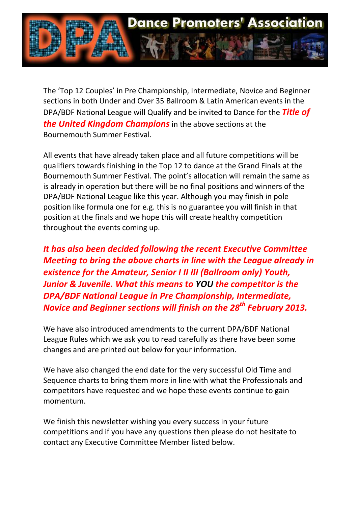

The 'Top 12 Couples' in Pre Championship, Intermediate, Novice and Beginner sections in both Under and Over 35 Ballroom & Latin American events in the DPA/BDF National League will Qualify and be invited to Dance for the *Title of the United Kingdom Champions* in the above sections at the Bournemouth Summer Festival.

All events that have already taken place and all future competitions will be qualifiers towards finishing in the Top 12 to dance at the Grand Finals at the Bournemouth Summer Festival. The point's allocation will remain the same as is already in operation but there will be no final positions and winners of the DPA/BDF National League like this year. Although you may finish in pole position like formula one for e.g. this is no guarantee you will finish in that position at the finals and we hope this will create healthy competition throughout the events coming up.

*It has also been decided following the recent Executive Committee Meeting to bring the above charts in line with the League already in existence for the Amateur, Senior I II III (Ballroom only) Youth, Junior & Juvenile. What this means to YOU the competitor is the DPA/BDF National League in Pre Championship, Intermediate, Novice and Beginner sections will finish on the 28th February 2013.* 

We have also introduced amendments to the current DPA/BDF National League Rules which we ask you to read carefully as there have been some changes and are printed out below for your information.

We have also changed the end date for the very successful Old Time and Sequence charts to bring them more in line with what the Professionals and competitors have requested and we hope these events continue to gain momentum.

We finish this newsletter wishing you every success in your future competitions and if you have any questions then please do not hesitate to contact any Executive Committee Member listed below.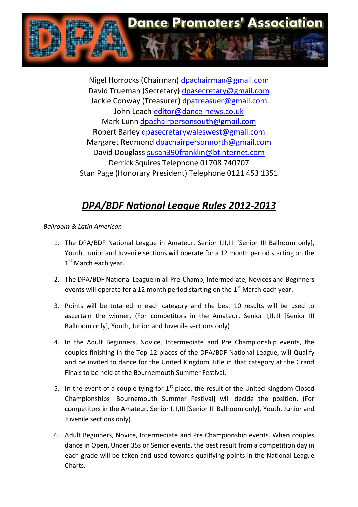

Nigel Horrocks (Chairman) [dpachairman@gmail.com](mailto:dpachairman@gmail.com) David Trueman (Secretary) [dpasecretary@gmail.com](mailto:dpasecretary@gmail.com) Jackie Conway (Treasurer) [dpatreasuer@gmail.com](mailto:dpatreasuer@gmail.com) John Leach [editor@dance-news.co.uk](mailto:editor@dance-news.co.uk) Mark Lunn [dpachairpersonsouth@gmail.com](mailto:dpachairpersonsouth@gmail.com) Robert Barley [dpasecretarywaleswest@gmail.com](mailto:dpasecretarywaleswest@gmail.com) Margaret Redmond [dpachairpersonnorth@gmail.com](mailto:dpachairpersonnorth@gmail.com) David Douglass [susan390franklin@btinternet.com](mailto:susan390franklin@btinternet.com) Derrick Squires Telephone 01708 740707 Stan Page (Honorary President) Telephone 0121 453 1351

# *DPA/BDF National League Rules 2012-2013*

# *Ballroom & Latin American*

- 1. The DPA/BDF National League in Amateur, Senior I,II,III [Senior III Ballroom only], Youth, Junior and Juvenile sections will operate for a 12 month period starting on the 1<sup>st</sup> March each year.
- 2. The DPA/BDF National League in all Pre-Champ, Intermediate, Novices and Beginners events will operate for a 12 month period starting on the  $1<sup>st</sup>$  March each year.
- 3. Points will be totalled in each category and the best 10 results will be used to ascertain the winner. (For competitors in the Amateur, Senior I,II,III [Senior III Ballroom only], Youth, Junior and Juvenile sections only)
- 4. In the Adult Beginners, Novice, Intermediate and Pre Championship events, the couples finishing in the Top 12 places of the DPA/BDF National League, will Qualify and be invited to dance for the United Kingdom Title in that category at the Grand Finals to be held at the Bournemouth Summer Festival.
- 5. In the event of a couple tying for  $1<sup>st</sup>$  place, the result of the United Kingdom Closed Championships [Bournemouth Summer Festival] will decide the position. (For competitors in the Amateur, Senior I,II,III [Senior III Ballroom only], Youth, Junior and Juvenile sections only)
- 6. Adult Beginners, Novice, Intermediate and Pre Championship events. When couples dance in Open, Under 35s or Senior events, the best result from a competition day in each grade will be taken and used towards qualifying points in the National League Charts.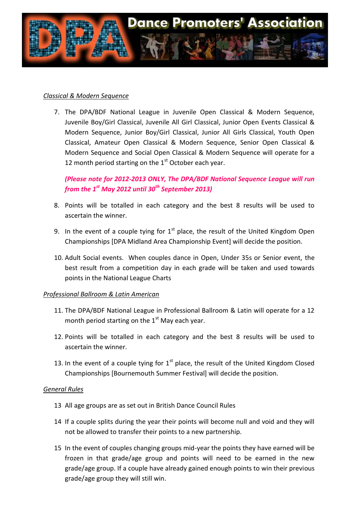

## *Classical & Modern Sequence*

7. The DPA/BDF National League in Juvenile Open Classical & Modern Sequence, Juvenile Boy/Girl Classical, Juvenile All Girl Classical, Junior Open Events Classical & Modern Sequence, Junior Boy/Girl Classical, Junior All Girls Classical, Youth Open Classical, Amateur Open Classical & Modern Sequence, Senior Open Classical & Modern Sequence and Social Open Classical & Modern Sequence will operate for a 12 month period starting on the  $1<sup>st</sup>$  October each year.

*(Please note for 2012-2013 ONLY, The DPA/BDF National Sequence League will run from the 1st May 2012 until 30th September 2013)*

- 8. Points will be totalled in each category and the best 8 results will be used to ascertain the winner.
- 9. In the event of a couple tying for  $1<sup>st</sup>$  place, the result of the United Kingdom Open Championships [DPA Midland Area Championship Event] will decide the position.
- 10. Adult Social events. When couples dance in Open, Under 35s or Senior event, the best result from a competition day in each grade will be taken and used towards points in the National League Charts

### *Professional Ballroom & Latin American*

- 11. The DPA/BDF National League in Professional Ballroom & Latin will operate for a 12 month period starting on the  $1<sup>st</sup>$  May each year.
- 12. Points will be totalled in each category and the best 8 results will be used to ascertain the winner.
- 13. In the event of a couple tying for  $1<sup>st</sup>$  place, the result of the United Kingdom Closed Championships [Bournemouth Summer Festival] will decide the position.

### *General Rules*

- 13 All age groups are as set out in British Dance Council Rules
- 14 If a couple splits during the year their points will become null and void and they will not be allowed to transfer their points to a new partnership.
- 15 In the event of couples changing groups mid-year the points they have earned will be frozen in that grade/age group and points will need to be earned in the new grade/age group. If a couple have already gained enough points to win their previous grade/age group they will still win.